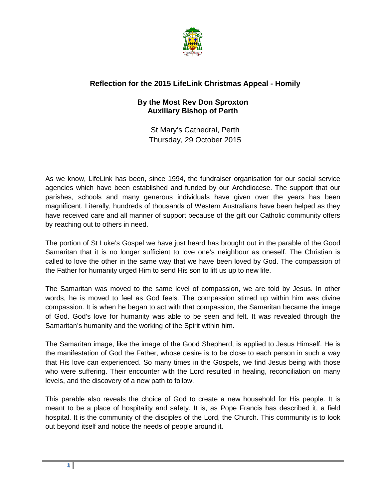

## **Reflection for the 2015 LifeLink Christmas Appeal - Homily**

## **By the Most Rev Don Sproxton Auxiliary Bishop of Perth**

St Mary's Cathedral, Perth Thursday, 29 October 2015

As we know, LifeLink has been, since 1994, the fundraiser organisation for our social service agencies which have been established and funded by our Archdiocese. The support that our parishes, schools and many generous individuals have given over the years has been magnificent. Literally, hundreds of thousands of Western Australians have been helped as they have received care and all manner of support because of the gift our Catholic community offers by reaching out to others in need.

The portion of St Luke's Gospel we have just heard has brought out in the parable of the Good Samaritan that it is no longer sufficient to love one's neighbour as oneself. The Christian is called to love the other in the same way that we have been loved by God. The compassion of the Father for humanity urged Him to send His son to lift us up to new life.

The Samaritan was moved to the same level of compassion, we are told by Jesus. In other words, he is moved to feel as God feels. The compassion stirred up within him was divine compassion. It is when he began to act with that compassion, the Samaritan became the image of God. God's love for humanity was able to be seen and felt. It was revealed through the Samaritan's humanity and the working of the Spirit within him.

The Samaritan image, like the image of the Good Shepherd, is applied to Jesus Himself. He is the manifestation of God the Father, whose desire is to be close to each person in such a way that His love can experienced. So many times in the Gospels, we find Jesus being with those who were suffering. Their encounter with the Lord resulted in healing, reconciliation on many levels, and the discovery of a new path to follow.

This parable also reveals the choice of God to create a new household for His people. It is meant to be a place of hospitality and safety. It is, as Pope Francis has described it, a field hospital. It is the community of the disciples of the Lord, the Church. This community is to look out beyond itself and notice the needs of people around it.